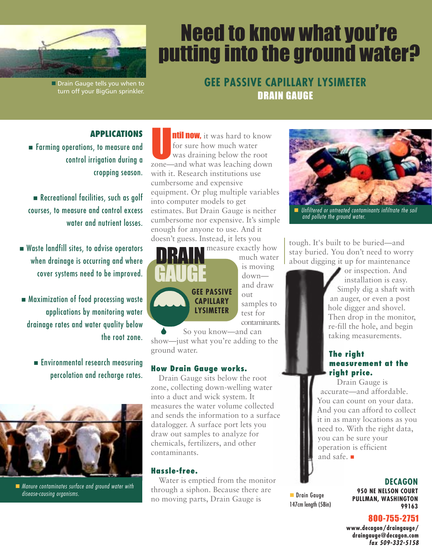

Drain Gauge tells you when to turn off your BigGun sprinkler.

# Need to know what you're putting into the ground water?

**GEE PASSIVE CAPILLARY LYSIMETER** DRAIN GAUGE

## **APPLICATIONS**

**Farming operations, to measure and** control irrigation during a cropping season.

Recreational facilities, such as golf courses, to measure and control excess water and nutrient losses.

- Waste landfill sites, to advise operators when drainage is occurring and where cover systems need to be improved.
- Maximization of food processing waste applications by monitoring water drainage rates and water quality below the root zone.
	- Environmental research measuring percolation and recharge rates.



**Manure contaminates surface and ground water with** disease-causing organisms.

**ntil now**, it was hard to know for sure how much water was draining below the root zone—and what was leaching down with it. Research institutions use cumbersome and expensive equipment. Or plug multiple variables into computer models to get estimates. But Drain Gauge is neither cumbersome nor expensive. It's simple enough for anyone to use. And it doesn't guess. Instead, it lets you



measure exactly how much water is moving down and draw out samples to test for contaminants.

So you know—and can show—just what you're adding to the ground water.

### **How Drain Gauge works.**

Drain Gauge sits below the root zone, collecting down-welling water into a duct and wick system. It measures the water volume collected and sends the information to a surface datalogger. A surface port lets you draw out samples to analyze for chemicals, fertilizers, and other contaminants.

#### **Hassle-free.**

Water is emptied from the monitor through a siphon. Because there are no moving parts, Drain Gauge is



**Unfiltered or untreated contaminants infiltrate the soil** and pollute the ground water.

tough. It's built to be buried—and stay buried. You don't need to worry about digging it up for maintenance

> or inspection. And installation is easy. Simply dig a shaft with an auger, or even a post hole digger and shovel. Then drop in the monitor, re-fill the hole, and begin taking measurements.

#### **The right measurement at the right price.**

Drain Gauge is accurate—and affordable. You can count on your data. And you can afford to collect it in as many locations as you need to. With the right data, you can be sure your operation is efficient and safe.

**Drain Gauge** 147cm length (58in)

#### **DECAGON**

**950 NE NELSON COURT PULLMAN, WASHINGTON 99163**

#### 800-755-2751

**www.decagon/draingauge/ draingauge@decagon.com fax 509-332-5158**